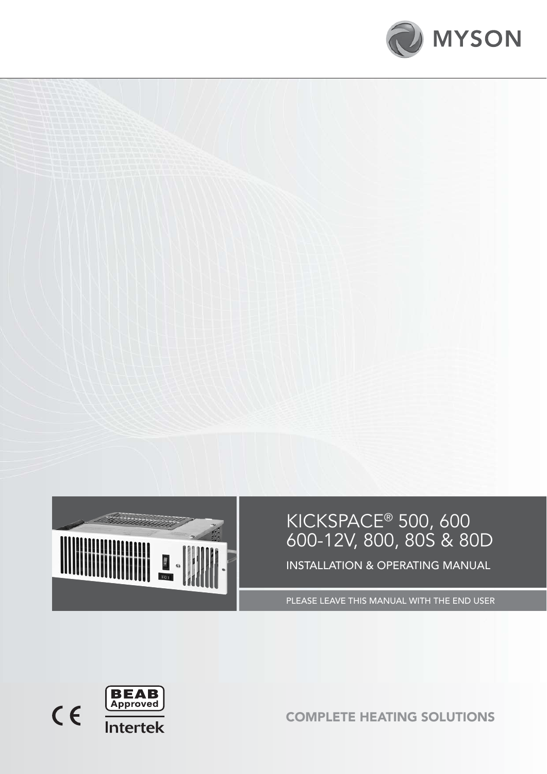



# KICKSPACE® 500, 600 600-12V, 800, 80S & 80D INSTALLATION & OPERATING MANUAL

PLEASE LEAVE THIS MANUAL WITH THE END USER



COMPLETE HEATING SOLUTIONS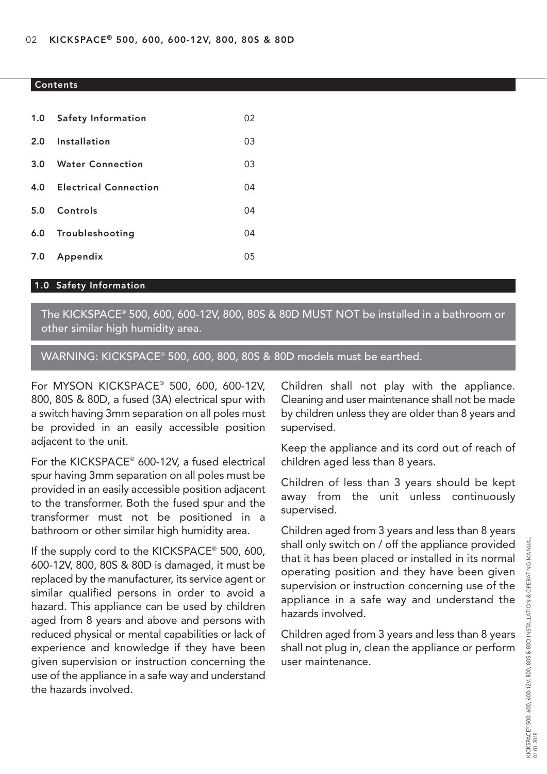#### Contents

| 1.0 Safety Information    | 02 |
|---------------------------|----|
| 2.0 Installation          | 03 |
| 3.0 Water Connection      | 03 |
| 4.0 Electrical Connection | 04 |
| 5.0 Controls              | 04 |
| 6.0 Troubleshooting       | 04 |
| 7.0 Appendix              | 05 |

## 1.0 Safety Information

The KICKSPACE® 500, 600, 600-12V, 800, 80S & 80D MUST NOT be installed in a bathroom or other similar high humidity area.

WARNING: KICKSPACE® 500, 600, 800, 80S & 80D models must be earthed.

For MYSON KICKSPACE® 500, 600, 600-12V, 800, 80S & 80D, a fused (3A) electrical spur with a switch having 3mm separation on all poles must be provided in an easily accessible position adjacent to the unit.

For the KICKSPACE® 600-12V, a fused electrical spur having 3mm separation on all poles must be provided in an easily accessible position adjacent to the transformer. Both the fused spur and the transformer must not be positioned in a bathroom or other similar high humidity area.

If the supply cord to the KICKSPACE® 500, 600, 600-12V, 800, 80S & 80D is damaged, it must be replaced by the manufacturer, its service agent or similar qualified persons in order to avoid a hazard. This appliance can be used by children aged from 8 years and above and persons with reduced physical or mental capabilities or lack of experience and knowledge if they have been given supervision or instruction concerning the use of the appliance in a safe way and understand the hazards involved.

Children shall not play with the appliance. Cleaning and user maintenance shall not be made by children unless they are older than 8 years and supervised.

Keep the appliance and its cord out of reach of children aged less than 8 years.

Children of less than 3 years should be kept away from the unit unless continuously supervised.

Children aged from 3 years and less than 8 years shall only switch on / off the appliance provided that it has been placed or installed in its normal operating position and they have been given supervision or instruction concerning use of the appliance in a safe way and understand the hazards involved.

Children aged from 3 years and less than 8 years shall not plug in, clean the appliance or perform user maintenance.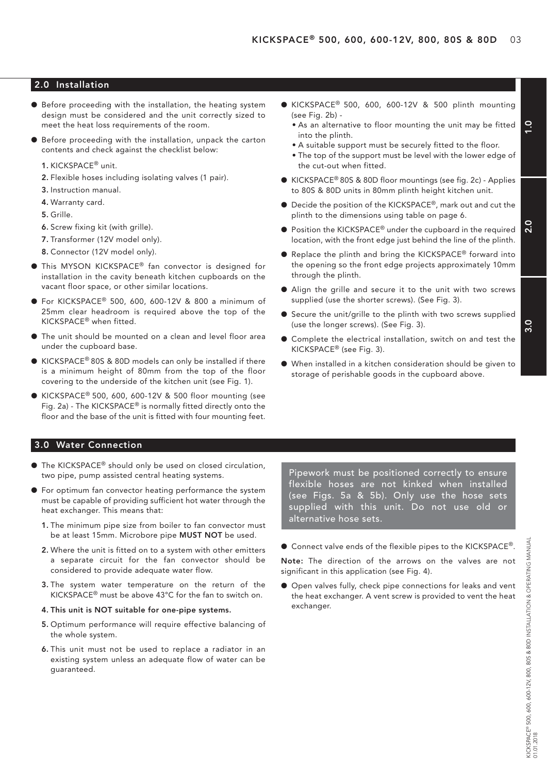## 2.0 Installation

- **•** Before proceeding with the installation, the heating system design must be considered and the unit correctly sized to meet the heat loss requirements of the room.
- l Before proceeding with the installation, unpack the carton contents and check against the checklist below:
	- 1. KICKSPACE® unit.
	- 2. Flexible hoses including isolating valves (1 pair).
	- 3. Instruction manual.
	- 4. Warranty card.
	- 5. Grille.
	- 6. Screw fixing kit (with grille).
	- 7. Transformer (12V model only).
	- 8. Connector (12V model only).
- **This MYSON KICKSPACE®** fan convector is designed for installation in the cavity beneath kitchen cupboards on the vacant floor space, or other similar locations.
- $\bullet$  For KICKSPACE® 500, 600, 600-12V & 800 a minimum of 25mm clear headroom is required above the top of the KICKSPACE® when fitted.
- l The unit should be mounted on a clean and level floor area under the cupboard base.
- $\bullet$  KICKSPACE® 80S & 80D models can only be installed if there is a minimum height of 80mm from the top of the floor covering to the underside of the kitchen unit (see Fig. 1).
- $\bullet$  KICKSPACE® 500, 600, 600-12V & 500 floor mounting (see Fig. 2a) - The KICKSPACE® is normally fitted directly onto the floor and the base of the unit is fitted with four mounting feet.
- $\bullet$  KICKSPACE® 500, 600, 600-12V & 500 plinth mounting (see Fig. 2b) -
	- As an alternative to floor mounting the unit may be fitted into the plinth.
	- A suitable support must be securely fitted to the floor.
	- The top of the support must be level with the lower edge of the cut-out when fitted.
- KICKSPACE<sup>®</sup> 80S & 80D floor mountings (see fig. 2c) Applies to 80S & 80D units in 80mm plinth height kitchen unit.
- Decide the position of the KICKSPACE®, mark out and cut the plinth to the dimensions using table on page 6.
- $\bullet$  Position the KICKSPACE® under the cupboard in the required location, with the front edge just behind the line of the plinth.
- Replace the plinth and bring the KICKSPACE® forward into the opening so the front edge projects approximately 10mm through the plinth.
- l Align the grille and secure it to the unit with two screws supplied (use the shorter screws). (See Fig. 3).
- **•** Secure the unit/grille to the plinth with two screws supplied (use the longer screws). (See Fig. 3).
- Complete the electrical installation, switch on and test the KICKSPACE® (see Fig. 3).
- When installed in a kitchen consideration should be given to storage of perishable goods in the cupboard above.

#### 3.0 Water Connection

- The KICKSPACE<sup>®</sup> should only be used on closed circulation, two pipe, pump assisted central heating systems.
- l For optimum fan convector heating performance the system must be capable of providing sufficient hot water through the heat exchanger. This means that:
	- 1. The minimum pipe size from boiler to fan convector must be at least 15mm. Microbore pipe MUST NOT be used.
	- 2. Where the unit is fitted on to a system with other emitters a separate circuit for the fan convector should be considered to provide adequate water flow.
	- 3. The system water temperature on the return of the KICKSPACE® must be above 43°C for the fan to switch on.
	- 4. This unit is NOT suitable for one-pipe systems.
	- 5. Optimum performance will require effective balancing of the whole system.
	- 6. This unit must not be used to replace a radiator in an existing system unless an adequate flow of water can be guaranteed.

Pipework must be positioned correctly to ensure flexible hoses are not kinked when installed (see Figs. 5a & 5b). Only use the hose sets supplied with this unit. Do not use old or alternative hose sets.

● Connect valve ends of the flexible pipes to the KICKSPACE®.

Note: The direction of the arrows on the valves are not significant in this application (see Fig. 4).

**O** Open valves fully, check pipe connections for leaks and vent the heat exchanger. A vent screw is provided to vent the heat exchanger.

3.0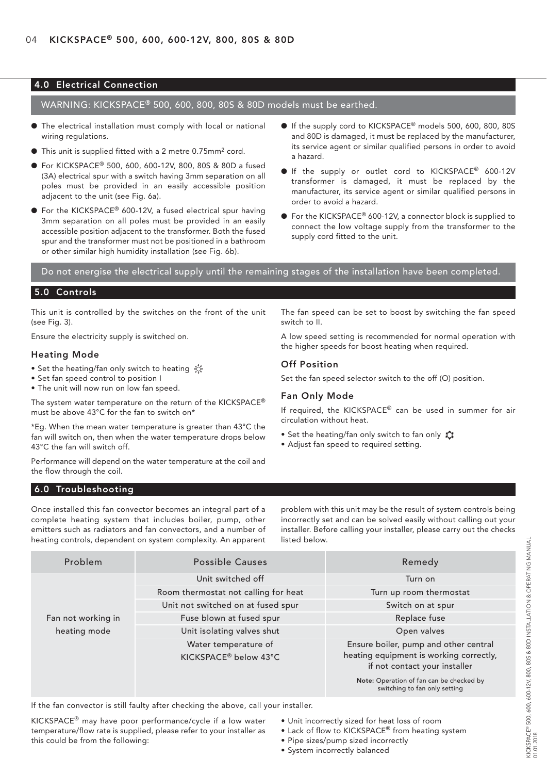## 4.0 Electrical Connection

WARNING: KICKSPACE® 500, 600, 800, 80S & 80D models must be earthed.

- $\bullet$  The electrical installation must comply with local or national wiring regulations.
- l This unit is supplied fitted with a 2 metre 0.75mm2 cord.
- For KICKSPACE<sup>®</sup> 500, 600, 600-12V, 800, 80S & 80D a fused (3A) electrical spur with a switch having 3mm separation on all poles must be provided in an easily accessible position adjacent to the unit (see Fig. 6a).
- For the KICKSPACE<sup>®</sup> 600-12V, a fused electrical spur having 3mm separation on all poles must be provided in an easily accessible position adjacent to the transformer. Both the fused spur and the transformer must not be positioned in a bathroom or other similar high humidity installation (see Fig. 6b).
- If the supply cord to KICKSPACE<sup>®</sup> models 500, 600, 800, 80S and 80D is damaged, it must be replaced by the manufacturer, its service agent or similar qualified persons in order to avoid a hazard.
- If the supply or outlet cord to KICKSPACE® 600-12V transformer is damaged, it must be replaced by the manufacturer, its service agent or similar qualified persons in order to avoid a hazard.
- For the KICKSPACE<sup>®</sup> 600-12V, a connector block is supplied to connect the low voltage supply from the transformer to the supply cord fitted to the unit.

Do not energise the electrical supply until the remaining stages of the installation have been completed.

### 5.0 Controls

This unit is controlled by the switches on the front of the unit (see Fig. 3).

Ensure the electricity supply is switched on.

#### Heating Mode

- Set the heating/fan only switch to heating
- Set fan speed control to position I
- The unit will now run on low fan speed.

The system water temperature on the return of the KICKSPACE® must be above 43°C for the fan to switch on\*

\*Eg. When the mean water temperature is greater than 43°C the fan will switch on, then when the water temperature drops below 43°C the fan will switch off.

Performance will depend on the water temperature at the coil and the flow through the coil.

The fan speed can be set to boost by switching the fan speed switch to II.

A low speed setting is recommended for normal operation with the higher speeds for boost heating when required.

#### Off Position

Set the fan speed selector switch to the off (O) position.

#### Fan Only Mode

If required, the KICKSPACE® can be used in summer for air circulation without heat.

- Set the heating/fan only switch to fan only  $\bigstar$
- Adjust fan speed to required setting.

#### 6.0 Troubleshooting

Once installed this fan convector becomes an integral part of a complete heating system that includes boiler, pump, other emitters such as radiators and fan convectors, and a number of heating controls, dependent on system complexity. An apparent

problem with this unit may be the result of system controls being incorrectly set and can be solved easily without calling out your installer. Before calling your installer, please carry out the checks listed below.

| Problem            | <b>Possible Causes</b>               | Remedy                                                                    |
|--------------------|--------------------------------------|---------------------------------------------------------------------------|
|                    | Unit switched off                    | Turn on                                                                   |
|                    | Room thermostat not calling for heat | Turn up room thermostat                                                   |
|                    | Unit not switched on at fused spur   | Switch on at spur                                                         |
| Fan not working in | Fuse blown at fused spur             | Replace fuse                                                              |
| heating mode       | Unit isolating valves shut           | Open valves                                                               |
|                    | Water temperature of                 | Ensure boiler, pump and other central                                     |
|                    | KICKSPACE® below 43°C                | heating equipment is working correctly,<br>if not contact your installer  |
|                    |                                      | Note: Operation of fan can be checked by<br>switching to fan only setting |

If the fan convector is still faulty after checking the above, call your installer.

KICKSPACE® may have poor performance/cycle if a low water temperature/flow rate is supplied, please refer to your installer as this could be from the following:

- Unit incorrectly sized for heat loss of room
- Lack of flow to KICKSPACE® from heating system
- Pipe sizes/pump sized incorrectly

KICKSPACE® 500, 600, 600-12V, 800, 80S & 80D INSTALLATION & OPERATING MANUAL

• System incorrectly balanced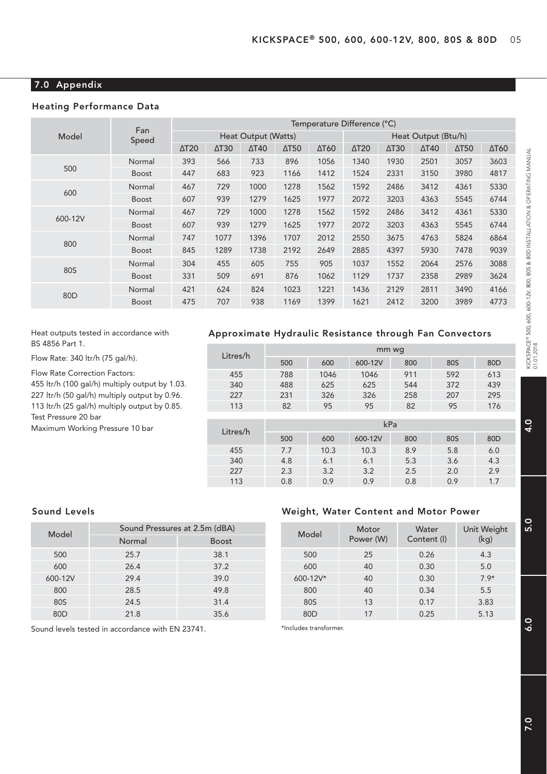## 7.0 Appendix

## Heating Performance Data

|                 | Fan          | Temperature Difference (°C) |                          |              |                          |              |              |                          |              |                          |              |
|-----------------|--------------|-----------------------------|--------------------------|--------------|--------------------------|--------------|--------------|--------------------------|--------------|--------------------------|--------------|
| Model           | Speed        | Heat Output (Watts)         |                          |              | Heat Output (Btu/h)      |              |              |                          |              |                          |              |
|                 |              | $\Delta$ T <sub>20</sub>    | $\Delta$ T <sub>30</sub> | $\Delta$ T40 | $\Delta$ T <sub>50</sub> | $\Delta$ T60 | $\Delta$ T20 | $\Delta$ T <sub>30</sub> | $\Delta$ T40 | $\Delta$ T <sub>50</sub> | $\Delta$ T60 |
|                 | Normal       | 393                         | 566                      | 733          | 896                      | 1056         | 1340         | 1930                     | 2501         | 3057                     | 3603         |
| 500             | <b>Boost</b> | 447                         | 683                      | 923          | 1166                     | 1412         | 1524         | 2331                     | 3150         | 3980                     | 4817         |
|                 | Normal       | 467                         | 729                      | 1000         | 1278                     | 1562         | 1592         | 2486                     | 3412         | 4361                     | 5330         |
| 600             | <b>Boost</b> | 607                         | 939                      | 1279         | 1625                     | 1977         | 2072         | 3203                     | 4363         | 5545                     | 6744         |
| 600-12V         | Normal       | 467                         | 729                      | 1000         | 1278                     | 1562         | 1592         | 2486                     | 3412         | 4361                     | 5330         |
|                 | <b>Boost</b> | 607                         | 939                      | 1279         | 1625                     | 1977         | 2072         | 3203                     | 4363         | 5545                     | 6744         |
|                 | Normal       | 747                         | 1077                     | 1396         | 1707                     | 2012         | 2550         | 3675                     | 4763         | 5824                     | 6864         |
| 800             | Boost        | 845                         | 1289                     | 1738         | 2192                     | 2649         | 2885         | 4397                     | 5930         | 7478                     | 9039         |
|                 | Normal       | 304                         | 455                      | 605          | 755                      | 905          | 1037         | 1552                     | 2064         | 2576                     | 3088         |
| 80S             | <b>Boost</b> | 331                         | 509                      | 691          | 876                      | 1062         | 1129         | 1737                     | 2358         | 2989                     | 3624         |
| 80 <sub>D</sub> | Normal       | 421                         | 624                      | 824          | 1023                     | 1221         | 1436         | 2129                     | 2811         | 3490                     | 4166         |
|                 | Boost        | 475                         | 707                      | 938          | 1169                     | 1399         | 1621         | 2412                     | 3200         | 3989                     | 4773         |

#### Heat outputs tested in accordance with BS 4856 Part 1.

Flow Rate: 340 ltr/h (75 gal/h).

Flow Rate Correction Factors: 455 ltr/h (100 gal/h) multiply output by 1.03. 227 ltr/h (50 gal/h) multiply output by 0.96. 113 ltr/h (25 gal/h) multiply output by 0.85. Test Pressure 20 bar

Maximum Working Pressure 10 bar

## Approximate Hydraulic Resistance through Fan Convectors

| Litres/h | mm wg |      |         |     |     |                 |  |  |
|----------|-------|------|---------|-----|-----|-----------------|--|--|
|          | 500   | 600  | 600-12V | 800 | 80S | 80 <sub>D</sub> |  |  |
| 455      | 788   | 1046 | 1046    | 911 | 592 | 613             |  |  |
| 340      | 488   | 625  | 625     | 544 | 372 | 439             |  |  |
| 227      | 231   | 326  | 326     | 258 | 207 | 295             |  |  |
| 113      | 82    | 95   | 95      | 82  | 95  | 176             |  |  |
|          |       |      |         |     |     |                 |  |  |
| Litres/h |       |      |         | kPa |     |                 |  |  |
|          | 500   | 600  | 600-12V | 800 | 80S | 80 <sub>D</sub> |  |  |
| 455      | 7.7   | 10.3 | 10.3    | 8.9 | 5.8 | 6.0             |  |  |
| 340      | 4.8   | 6.1  | 6.1     | 5.3 | 3.6 | 4.3             |  |  |
| 227      | 2.3   | 3.2  | 3.2     | 2.5 | 2.0 | 2.9             |  |  |
| 113      | 0.8   | 0.9  | 0.9     | 0.8 | 0.9 | 1.7             |  |  |
|          |       |      |         |     |     |                 |  |  |

## Sound Levels

| Model   | Sound Pressures at 2.5m (dBA) |              |  |  |  |  |
|---------|-------------------------------|--------------|--|--|--|--|
|         | Normal                        | <b>Boost</b> |  |  |  |  |
| 500     | 25.7                          | 38.1         |  |  |  |  |
| 600     | 26.4                          | 37.2         |  |  |  |  |
| 600-12V | 29.4                          | 39.0         |  |  |  |  |
| 800     | 28.5                          | 49.8         |  |  |  |  |
| 80S     | 24.5                          | 31.4         |  |  |  |  |
| 80D     | 21.8                          | 35.6         |  |  |  |  |

#### Sound levels tested in accordance with EN 23741.

## Weight, Water Content and Motor Power

| Model           | Motor<br>Power (W) | Water<br>Content (I) | Unit Weight<br>(kg) |
|-----------------|--------------------|----------------------|---------------------|
| 500             | 25                 | 0.26                 | 4.3                 |
| 600             | 40                 | 0.30                 | 5.0                 |
| 600-12V*        | 40                 | 0.30                 | $7.9*$              |
| 800             | 40                 | 0.34                 | 5.5                 |
| 80S             | 13                 | 0.17                 | 3.83                |
| 80 <sub>D</sub> | 17                 | 0.25                 | 5.13                |

5.0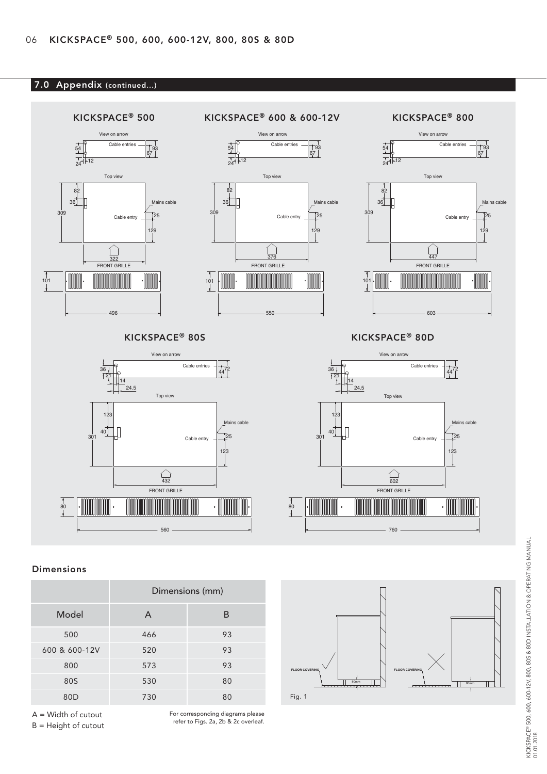## 7.0 Appendix (continued...)



## Dimensions

|                 | Dimensions (mm) |    |  |  |
|-----------------|-----------------|----|--|--|
| Model           | A               | B  |  |  |
| 500             | 466             | 93 |  |  |
| 600 & 600-12V   | 520             | 93 |  |  |
| 800             | 573             | 93 |  |  |
| 80S             | 530             | 80 |  |  |
| 80 <sub>D</sub> | 730             | 80 |  |  |

A = Width of cutout B = Height of cutout For corresponding diagrams please refer to Figs. 2a, 2b & 2c overleaf. **FLOOR COVERING FLOOR COVERING**

Fig. 1

80mm  $|| \qquad \qquad \rangle$   $\qquad \qquad \frac{1}{\sqrt{1 - 80000}}$ 

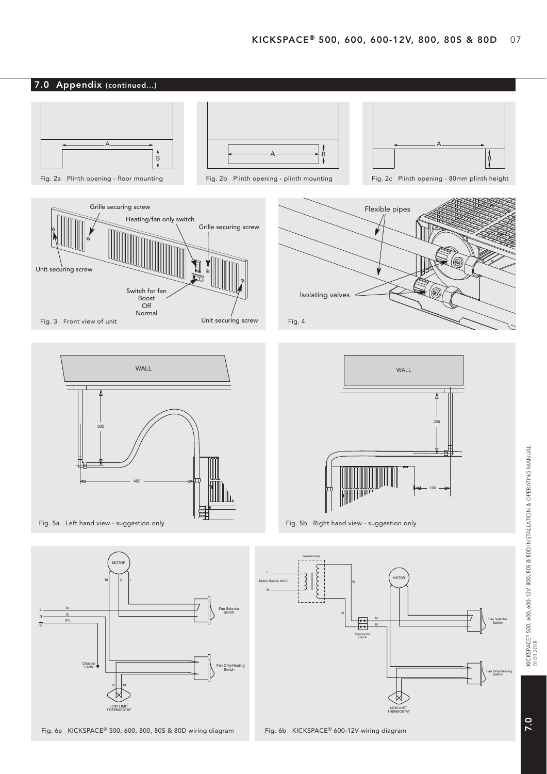





Fig. 6a KICKSPACE® 500, 600, 800, 80S & 80D wiring diagram

Block

t.<br>D

**HERMOST/** 

Switch